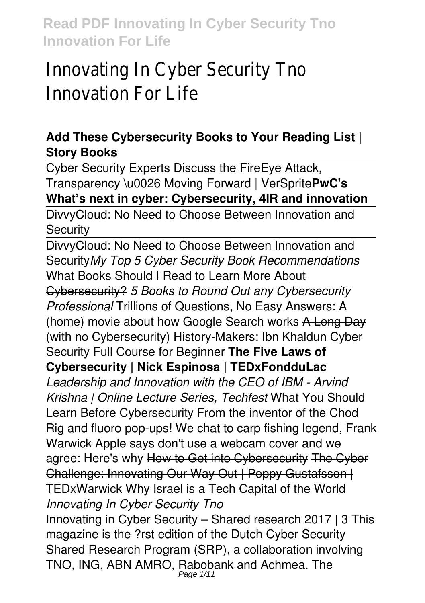### **Add These Cybersecurity Books to Your Reading List | Story Books**

Cyber Security Experts Discuss the FireEye Attack, Transparency \u0026 Moving Forward | VerSprite**PwC's What's next in cyber: Cybersecurity, 4IR and innovation**

DivvyCloud: No Need to Choose Between Innovation and **Security** 

DivvyCloud: No Need to Choose Between Innovation and Security*My Top 5 Cyber Security Book Recommendations* What Books Should I Read to Learn More About Cybersecurity? *5 Books to Round Out any Cybersecurity Professional* Trillions of Questions, No Easy Answers: A (home) movie about how Google Search works A Long Day (with no Cybersecurity) History-Makers: Ibn Khaldun Cyber Security Full Course for Beginner **The Five Laws of Cybersecurity | Nick Espinosa | TEDxFondduLac** *Leadership and Innovation with the CEO of IBM - Arvind Krishna | Online Lecture Series, Techfest* What You Should Learn Before Cybersecurity From the inventor of the Chod Rig and fluoro pop-ups! We chat to carp fishing legend, Frank Warwick Apple says don't use a webcam cover and we agree: Here's why How to Get into Cybersecurity The Cyber Challenge: Innovating Our Way Out | Poppy Gustafsson | TEDxWarwick Why Israel is a Tech Capital of the World *Innovating In Cyber Security Tno* Innovating in Cyber Security – Shared research 2017 | 3 This magazine is the ?rst edition of the Dutch Cyber Security

Shared Research Program (SRP), a collaboration involving TNO, ING, ABN AMRO, Rabobank and Achmea. The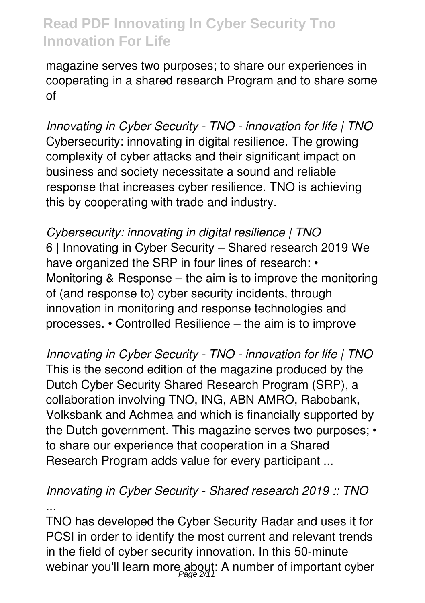magazine serves two purposes; to share our experiences in cooperating in a shared research Program and to share some of

*Innovating in Cyber Security - TNO - innovation for life | TNO* Cybersecurity: innovating in digital resilience. The growing complexity of cyber attacks and their significant impact on business and society necessitate a sound and reliable response that increases cyber resilience. TNO is achieving this by cooperating with trade and industry.

*Cybersecurity: innovating in digital resilience | TNO* 6 | Innovating in Cyber Security – Shared research 2019 We have organized the SRP in four lines of research: • Monitoring & Response – the aim is to improve the monitoring of (and response to) cyber security incidents, through innovation in monitoring and response technologies and processes. • Controlled Resilience – the aim is to improve

*Innovating in Cyber Security - TNO - innovation for life | TNO* This is the second edition of the magazine produced by the Dutch Cyber Security Shared Research Program (SRP), a collaboration involving TNO, ING, ABN AMRO, Rabobank, Volksbank and Achmea and which is financially supported by the Dutch government. This magazine serves two purposes; • to share our experience that cooperation in a Shared Research Program adds value for every participant ...

### *Innovating in Cyber Security - Shared research 2019 :: TNO ...*

TNO has developed the Cyber Security Radar and uses it for PCSI in order to identify the most current and relevant trends in the field of cyber security innovation. In this 50-minute webinar you'll learn more about: A number of important cyber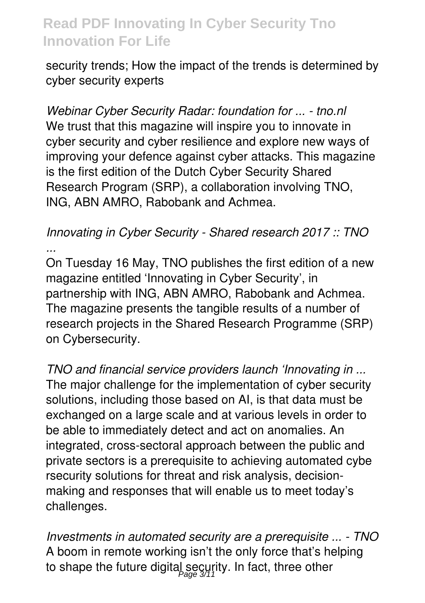security trends; How the impact of the trends is determined by cyber security experts

*Webinar Cyber Security Radar: foundation for ... - tno.nl* We trust that this magazine will inspire you to innovate in cyber security and cyber resilience and explore new ways of improving your defence against cyber attacks. This magazine is the first edition of the Dutch Cyber Security Shared Research Program (SRP), a collaboration involving TNO, ING, ABN AMRO, Rabobank and Achmea.

### *Innovating in Cyber Security - Shared research 2017 :: TNO*

*...* On Tuesday 16 May, TNO publishes the first edition of a new magazine entitled 'Innovating in Cyber Security', in partnership with ING, ABN AMRO, Rabobank and Achmea. The magazine presents the tangible results of a number of research projects in the Shared Research Programme (SRP) on Cybersecurity.

*TNO and financial service providers launch 'Innovating in ...* The major challenge for the implementation of cyber security solutions, including those based on AI, is that data must be exchanged on a large scale and at various levels in order to be able to immediately detect and act on anomalies. An integrated, cross-sectoral approach between the public and private sectors is a prerequisite to achieving automated cybe rsecurity solutions for threat and risk analysis, decisionmaking and responses that will enable us to meet today's challenges.

*Investments in automated security are a prerequisite ... - TNO* A boom in remote working isn't the only force that's helping to shape the future digital security. In fact, three other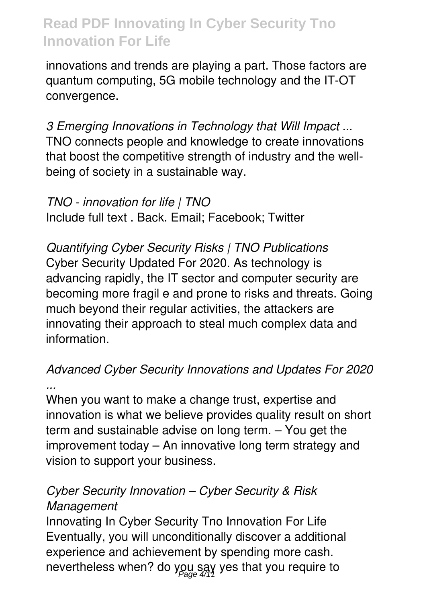innovations and trends are playing a part. Those factors are quantum computing, 5G mobile technology and the IT-OT convergence.

*3 Emerging Innovations in Technology that Will Impact ...* TNO connects people and knowledge to create innovations that boost the competitive strength of industry and the wellbeing of society in a sustainable way.

*TNO - innovation for life | TNO* Include full text . Back. Email; Facebook; Twitter

*Quantifying Cyber Security Risks | TNO Publications* Cyber Security Updated For 2020. As technology is advancing rapidly, the IT sector and computer security are becoming more fragil e and prone to risks and threats. Going much beyond their regular activities, the attackers are innovating their approach to steal much complex data and information.

#### *Advanced Cyber Security Innovations and Updates For 2020 ...*

When you want to make a change trust, expertise and innovation is what we believe provides quality result on short term and sustainable advise on long term. – You get the improvement today – An innovative long term strategy and vision to support your business.

### *Cyber Security Innovation – Cyber Security & Risk Management*

Innovating In Cyber Security Tno Innovation For Life Eventually, you will unconditionally discover a additional experience and achievement by spending more cash. nevertheless when? do you say yes that you require to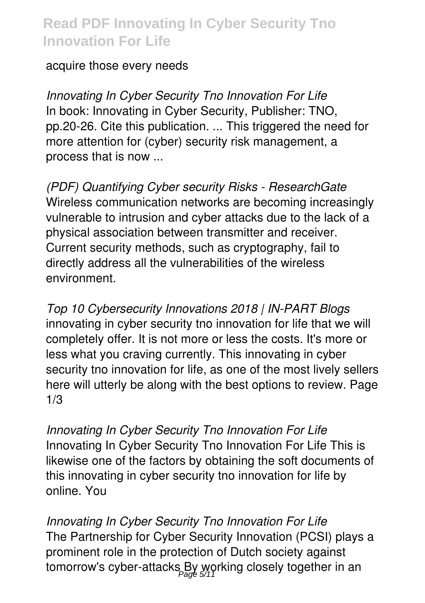#### acquire those every needs

*Innovating In Cyber Security Tno Innovation For Life* In book: Innovating in Cyber Security, Publisher: TNO, pp.20-26. Cite this publication. ... This triggered the need for more attention for (cyber) security risk management, a process that is now ...

*(PDF) Quantifying Cyber security Risks - ResearchGate* Wireless communication networks are becoming increasingly vulnerable to intrusion and cyber attacks due to the lack of a physical association between transmitter and receiver. Current security methods, such as cryptography, fail to directly address all the vulnerabilities of the wireless environment.

*Top 10 Cybersecurity Innovations 2018 | IN-PART Blogs* innovating in cyber security tno innovation for life that we will completely offer. It is not more or less the costs. It's more or less what you craving currently. This innovating in cyber security tno innovation for life, as one of the most lively sellers here will utterly be along with the best options to review. Page 1/3

*Innovating In Cyber Security Tno Innovation For Life* Innovating In Cyber Security Tno Innovation For Life This is likewise one of the factors by obtaining the soft documents of this innovating in cyber security tno innovation for life by online. You

*Innovating In Cyber Security Tno Innovation For Life* The Partnership for Cyber Security Innovation (PCSI) plays a prominent role in the protection of Dutch society against tomorrow's cyber-attacks<sub>,</sub>By working closely together in an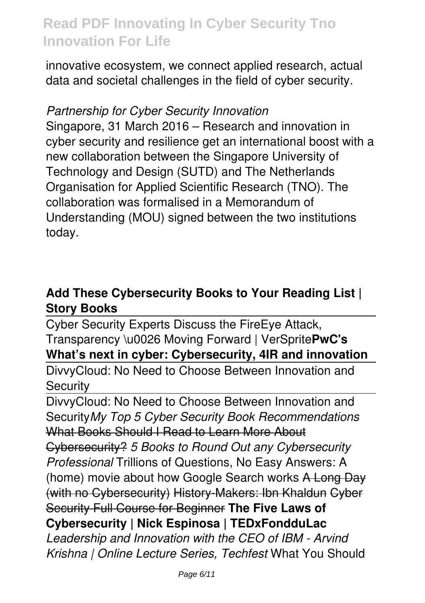innovative ecosystem, we connect applied research, actual data and societal challenges in the field of cyber security.

#### *Partnership for Cyber Security Innovation*

Singapore, 31 March 2016 – Research and innovation in cyber security and resilience get an international boost with a new collaboration between the Singapore University of Technology and Design (SUTD) and The Netherlands Organisation for Applied Scientific Research (TNO). The collaboration was formalised in a Memorandum of Understanding (MOU) signed between the two institutions today.

### **Add These Cybersecurity Books to Your Reading List | Story Books**

Cyber Security Experts Discuss the FireEye Attack, Transparency \u0026 Moving Forward | VerSprite**PwC's What's next in cyber: Cybersecurity, 4IR and innovation**

DivvyCloud: No Need to Choose Between Innovation and **Security** 

DivvyCloud: No Need to Choose Between Innovation and Security*My Top 5 Cyber Security Book Recommendations* What Books Should I Read to Learn More About Cybersecurity? *5 Books to Round Out any Cybersecurity Professional* Trillions of Questions, No Easy Answers: A (home) movie about how Google Search works A Long Day (with no Cybersecurity) History-Makers: Ibn Khaldun Cyber Security Full Course for Beginner **The Five Laws of Cybersecurity | Nick Espinosa | TEDxFondduLac** *Leadership and Innovation with the CEO of IBM - Arvind Krishna | Online Lecture Series, Techfest* What You Should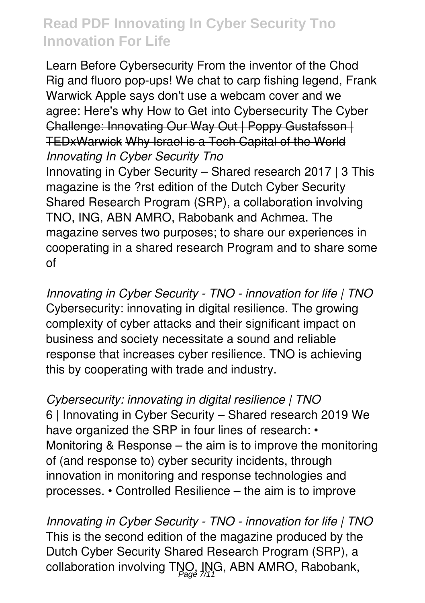Learn Before Cybersecurity From the inventor of the Chod Rig and fluoro pop-ups! We chat to carp fishing legend, Frank Warwick Apple says don't use a webcam cover and we agree: Here's why How to Get into Cybersecurity The Cyber Challenge: Innovating Our Way Out | Poppy Gustafsson | TEDxWarwick Why Israel is a Tech Capital of the World *Innovating In Cyber Security Tno* Innovating in Cyber Security – Shared research 2017 | 3 This magazine is the ?rst edition of the Dutch Cyber Security Shared Research Program (SRP), a collaboration involving TNO, ING, ABN AMRO, Rabobank and Achmea. The magazine serves two purposes; to share our experiences in cooperating in a shared research Program and to share some of

*Innovating in Cyber Security - TNO - innovation for life | TNO* Cybersecurity: innovating in digital resilience. The growing complexity of cyber attacks and their significant impact on business and society necessitate a sound and reliable response that increases cyber resilience. TNO is achieving this by cooperating with trade and industry.

*Cybersecurity: innovating in digital resilience | TNO* 6 | Innovating in Cyber Security – Shared research 2019 We have organized the SRP in four lines of research: • Monitoring & Response – the aim is to improve the monitoring of (and response to) cyber security incidents, through innovation in monitoring and response technologies and processes. • Controlled Resilience – the aim is to improve

*Innovating in Cyber Security - TNO - innovation for life | TNO* This is the second edition of the magazine produced by the Dutch Cyber Security Shared Research Program (SRP), a collaboration involving TNO, ING, ABN AMRO, Rabobank,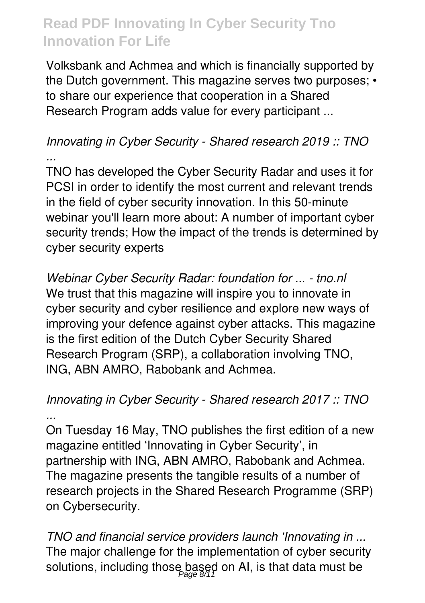Volksbank and Achmea and which is financially supported by the Dutch government. This magazine serves two purposes; • to share our experience that cooperation in a Shared Research Program adds value for every participant ...

#### *Innovating in Cyber Security - Shared research 2019 :: TNO ...*

TNO has developed the Cyber Security Radar and uses it for PCSI in order to identify the most current and relevant trends in the field of cyber security innovation. In this 50-minute webinar you'll learn more about: A number of important cyber security trends; How the impact of the trends is determined by cyber security experts

*Webinar Cyber Security Radar: foundation for ... - tno.nl* We trust that this magazine will inspire you to innovate in cyber security and cyber resilience and explore new ways of improving your defence against cyber attacks. This magazine is the first edition of the Dutch Cyber Security Shared Research Program (SRP), a collaboration involving TNO, ING, ABN AMRO, Rabobank and Achmea.

### *Innovating in Cyber Security - Shared research 2017 :: TNO ...*

On Tuesday 16 May, TNO publishes the first edition of a new magazine entitled 'Innovating in Cyber Security', in partnership with ING, ABN AMRO, Rabobank and Achmea. The magazine presents the tangible results of a number of research projects in the Shared Research Programme (SRP) on Cybersecurity.

*TNO and financial service providers launch 'Innovating in ...* The major challenge for the implementation of cyber security solutions, including those based on AI, is that data must be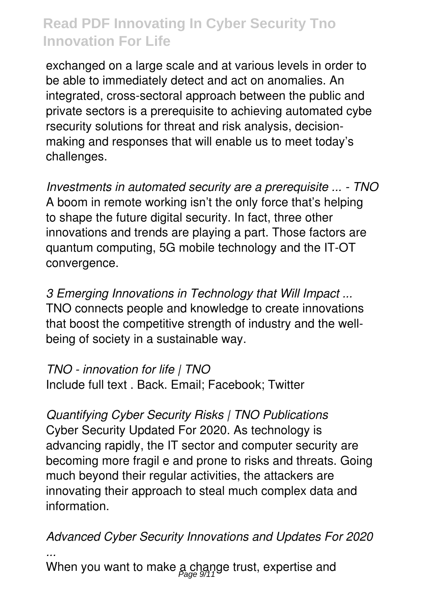exchanged on a large scale and at various levels in order to be able to immediately detect and act on anomalies. An integrated, cross-sectoral approach between the public and private sectors is a prerequisite to achieving automated cybe rsecurity solutions for threat and risk analysis, decisionmaking and responses that will enable us to meet today's challenges.

*Investments in automated security are a prerequisite ... - TNO* A boom in remote working isn't the only force that's helping to shape the future digital security. In fact, three other innovations and trends are playing a part. Those factors are quantum computing, 5G mobile technology and the IT-OT convergence.

*3 Emerging Innovations in Technology that Will Impact ...* TNO connects people and knowledge to create innovations that boost the competitive strength of industry and the wellbeing of society in a sustainable way.

#### *TNO - innovation for life | TNO*

Include full text . Back. Email; Facebook; Twitter

*Quantifying Cyber Security Risks | TNO Publications* Cyber Security Updated For 2020. As technology is advancing rapidly, the IT sector and computer security are becoming more fragil e and prone to risks and threats. Going much beyond their regular activities, the attackers are innovating their approach to steal much complex data and information.

*Advanced Cyber Security Innovations and Updates For 2020 ...*

When you want to make  $\frac{1}{\beta}$  change trust, expertise and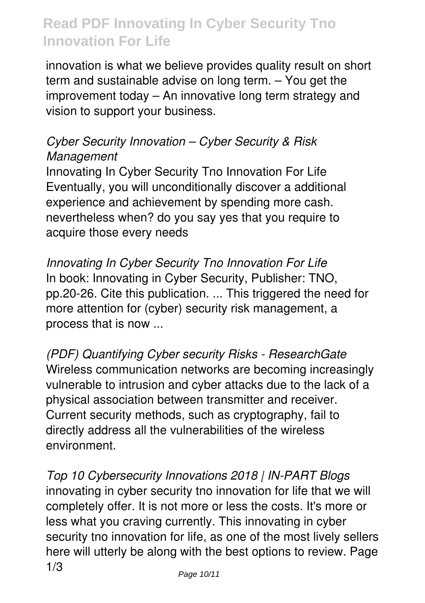innovation is what we believe provides quality result on short term and sustainable advise on long term. – You get the improvement today – An innovative long term strategy and vision to support your business.

### *Cyber Security Innovation – Cyber Security & Risk Management*

Innovating In Cyber Security Tno Innovation For Life Eventually, you will unconditionally discover a additional experience and achievement by spending more cash. nevertheless when? do you say yes that you require to acquire those every needs

*Innovating In Cyber Security Tno Innovation For Life* In book: Innovating in Cyber Security, Publisher: TNO, pp.20-26. Cite this publication. ... This triggered the need for more attention for (cyber) security risk management, a process that is now ...

*(PDF) Quantifying Cyber security Risks - ResearchGate* Wireless communication networks are becoming increasingly vulnerable to intrusion and cyber attacks due to the lack of a physical association between transmitter and receiver. Current security methods, such as cryptography, fail to directly address all the vulnerabilities of the wireless environment.

*Top 10 Cybersecurity Innovations 2018 | IN-PART Blogs* innovating in cyber security tno innovation for life that we will completely offer. It is not more or less the costs. It's more or less what you craving currently. This innovating in cyber security tno innovation for life, as one of the most lively sellers here will utterly be along with the best options to review. Page 1/3